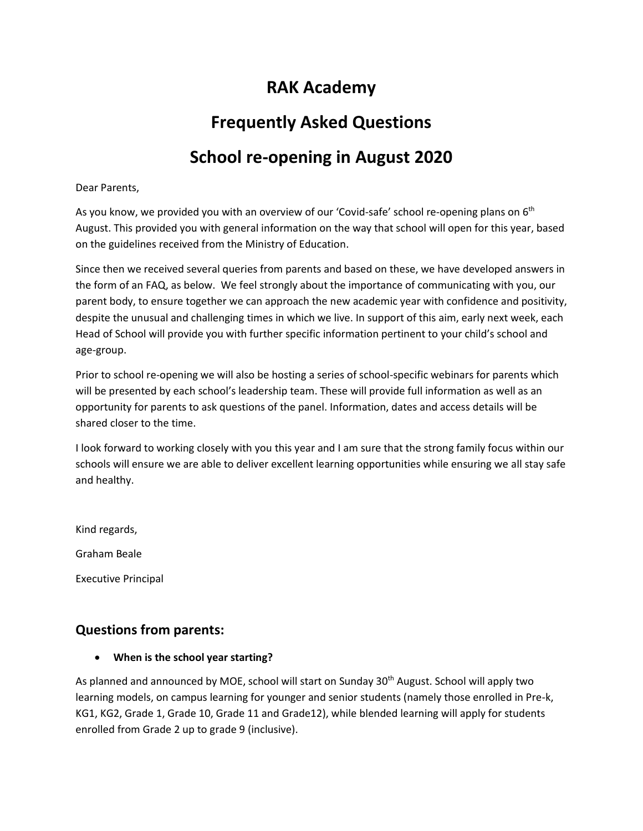# **RAK Academy**

# **Frequently Asked Questions**

# **School re-opening in August 2020**

#### Dear Parents,

As you know, we provided you with an overview of our 'Covid-safe' school re-opening plans on 6<sup>th</sup> August. This provided you with general information on the way that school will open for this year, based on the guidelines received from the Ministry of Education.

Since then we received several queries from parents and based on these, we have developed answers in the form of an FAQ, as below. We feel strongly about the importance of communicating with you, our parent body, to ensure together we can approach the new academic year with confidence and positivity, despite the unusual and challenging times in which we live. In support of this aim, early next week, each Head of School will provide you with further specific information pertinent to your child's school and age-group.

Prior to school re-opening we will also be hosting a series of school-specific webinars for parents which will be presented by each school's leadership team. These will provide full information as well as an opportunity for parents to ask questions of the panel. Information, dates and access details will be shared closer to the time.

I look forward to working closely with you this year and I am sure that the strong family focus within our schools will ensure we are able to deliver excellent learning opportunities while ensuring we all stay safe and healthy.

Kind regards,

Graham Beale

Executive Principal

## **Questions from parents:**

**When is the school year starting?**

As planned and announced by MOE, school will start on Sunday 30<sup>th</sup> August. School will apply two learning models, on campus learning for younger and senior students (namely those enrolled in Pre-k, KG1, KG2, Grade 1, Grade 10, Grade 11 and Grade12), while blended learning will apply for students enrolled from Grade 2 up to grade 9 (inclusive).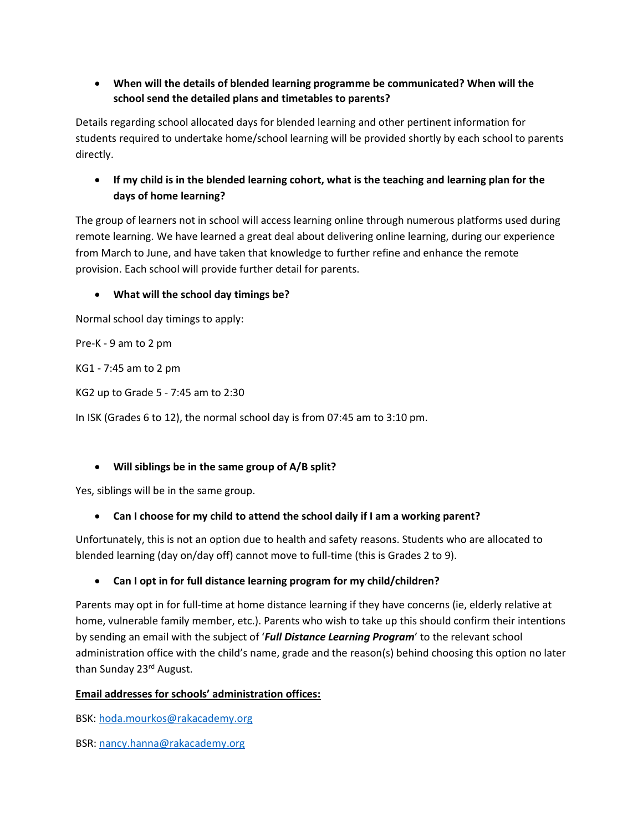## **When will the details of blended learning programme be communicated? When will the school send the detailed plans and timetables to parents?**

Details regarding school allocated days for blended learning and other pertinent information for students required to undertake home/school learning will be provided shortly by each school to parents directly.

## **If my child is in the blended learning cohort, what is the teaching and learning plan for the days of home learning?**

The group of learners not in school will access learning online through numerous platforms used during remote learning. We have learned a great deal about delivering online learning, during our experience from March to June, and have taken that knowledge to further refine and enhance the remote provision. Each school will provide further detail for parents.

### **What will the school day timings be?**

Normal school day timings to apply:

Pre-K - 9 am to 2 pm

KG1 - 7:45 am to 2 pm

KG2 up to Grade 5 - 7:45 am to 2:30

In ISK (Grades 6 to 12), the normal school day is from 07:45 am to 3:10 pm.

#### **Will siblings be in the same group of A/B split?**

Yes, siblings will be in the same group.

#### **Can I choose for my child to attend the school daily if I am a working parent?**

Unfortunately, this is not an option due to health and safety reasons. Students who are allocated to blended learning (day on/day off) cannot move to full-time (this is Grades 2 to 9).

#### **Can I opt in for full distance learning program for my child/children?**

Parents may opt in for full-time at home distance learning if they have concerns (ie, elderly relative at home, vulnerable family member, etc.). Parents who wish to take up this should confirm their intentions by sending an email with the subject of '*Full Distance Learning Program*' to the relevant school administration office with the child's name, grade and the reason(s) behind choosing this option no later than Sunday 23<sup>rd</sup> August.

#### **Email addresses for schools' administration offices:**

BSK: [hoda.mourkos@rakacademy.org](mailto:hoda.mourkos@rakacademy.org)

BSR[: nancy.hanna@rakacademy.org](mailto:nancy.hanna@rakacademy.org)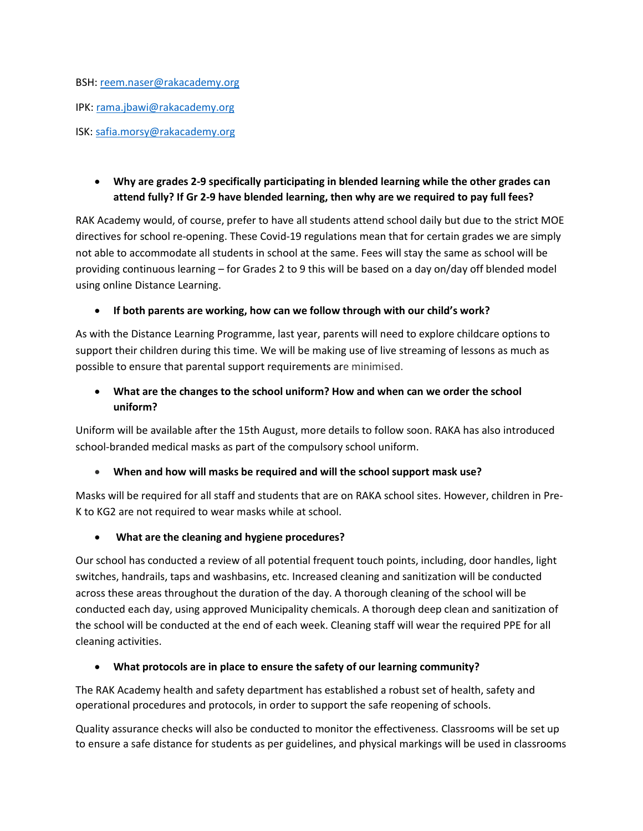BSH: [reem.naser@rakacademy.org](mailto:reem.naser@rakacademy.org) IPK[: rama.jbawi@rakacademy.org](mailto:rama.jbawi@rakacademy.org) ISK: [safia.morsy@rakacademy.org](mailto:safia.morsy@rakacademy.org)

## **Why are grades 2-9 specifically participating in blended learning while the other grades can attend fully? If Gr 2-9 have blended learning, then why are we required to pay full fees?**

RAK Academy would, of course, prefer to have all students attend school daily but due to the strict MOE directives for school re-opening. These Covid-19 regulations mean that for certain grades we are simply not able to accommodate all students in school at the same. Fees will stay the same as school will be providing continuous learning – for Grades 2 to 9 this will be based on a day on/day off blended model using online Distance Learning.

### **If both parents are working, how can we follow through with our child's work?**

As with the Distance Learning Programme, last year, parents will need to explore childcare options to support their children during this time. We will be making use of live streaming of lessons as much as possible to ensure that parental support requirements are minimised.

### **What are the changes to the school uniform? How and when can we order the school uniform?**

Uniform will be available after the 15th August, more details to follow soon. RAKA has also introduced school-branded medical masks as part of the compulsory school uniform.

#### **When and how will masks be required and will the school support mask use?**

Masks will be required for all staff and students that are on RAKA school sites. However, children in Pre-K to KG2 are not required to wear masks while at school.

#### **What are the cleaning and hygiene procedures?**

Our school has conducted a review of all potential frequent touch points, including, door handles, light switches, handrails, taps and washbasins, etc. Increased cleaning and sanitization will be conducted across these areas throughout the duration of the day. A thorough cleaning of the school will be conducted each day, using approved Municipality chemicals. A thorough deep clean and sanitization of the school will be conducted at the end of each week. Cleaning staff will wear the required PPE for all cleaning activities.

#### **What protocols are in place to ensure the safety of our learning community?**

The RAK Academy health and safety department has established a robust set of health, safety and operational procedures and protocols, in order to support the safe reopening of schools.

Quality assurance checks will also be conducted to monitor the effectiveness. Classrooms will be set up to ensure a safe distance for students as per guidelines, and physical markings will be used in classrooms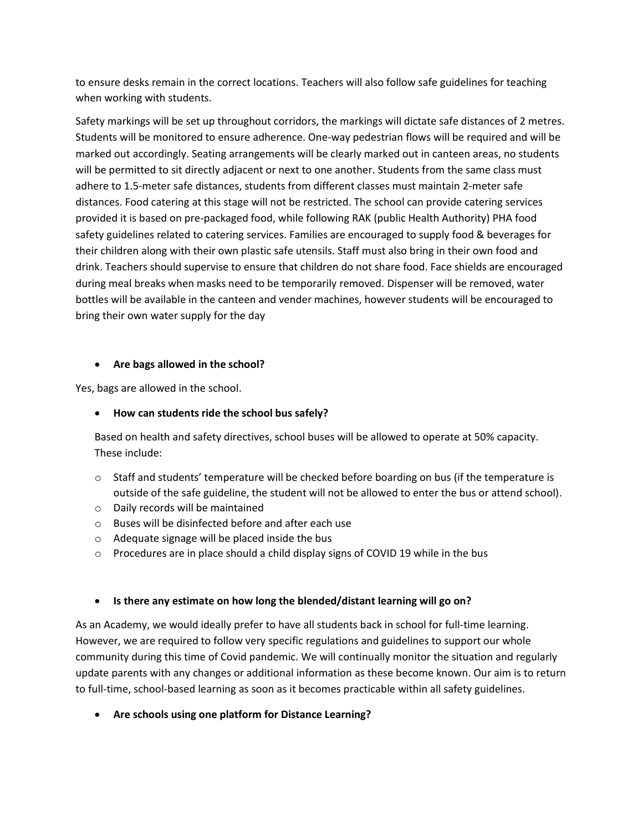to ensure desks remain in the correct locations. Teachers will also follow safe guidelines for teaching when working with students.

Safety markings will be set up throughout corridors, the markings will dictate safe distances of 2 metres. Students will be monitored to ensure adherence. One-way pedestrian flows will be required and will be marked out accordingly. Seating arrangements will be clearly marked out in canteen areas, no students will be permitted to sit directly adjacent or next to one another. Students from the same class must adhere to 1.5-meter safe distances, students from different classes must maintain 2-meter safe distances. Food catering at this stage will not be restricted. The school can provide catering services provided it is based on pre-packaged food, while following RAK (public Health Authority) PHA food safety guidelines related to catering services. Families are encouraged to supply food & beverages for their children along with their own plastic safe utensils. Staff must also bring in their own food and drink. Teachers should supervise to ensure that children do not share food. Face shields are encouraged during meal breaks when masks need to be temporarily removed. Dispenser will be removed, water bottles will be available in the canteen and vender machines, however students will be encouraged to bring their own water supply for the day

#### **Are bags allowed in the school?**

Yes, bags are allowed in the school.

#### **How can students ride the school bus safely?**

Based on health and safety directives, school buses will be allowed to operate at 50% capacity. These include:

- $\circ$  Staff and students' temperature will be checked before boarding on bus (if the temperature is outside of the safe guideline, the student will not be allowed to enter the bus or attend school).
- o Daily records will be maintained
- o Buses will be disinfected before and after each use
- o Adequate signage will be placed inside the bus
- o Procedures are in place should a child display signs of COVID 19 while in the bus

#### **Is there any estimate on how long the blended/distant learning will go on?**

As an Academy, we would ideally prefer to have all students back in school for full-time learning. However, we are required to follow very specific regulations and guidelines to support our whole community during this time of Covid pandemic. We will continually monitor the situation and regularly update parents with any changes or additional information as these become known. Our aim is to return to full-time, school-based learning as soon as it becomes practicable within all safety guidelines.

**Are schools using one platform for Distance Learning?**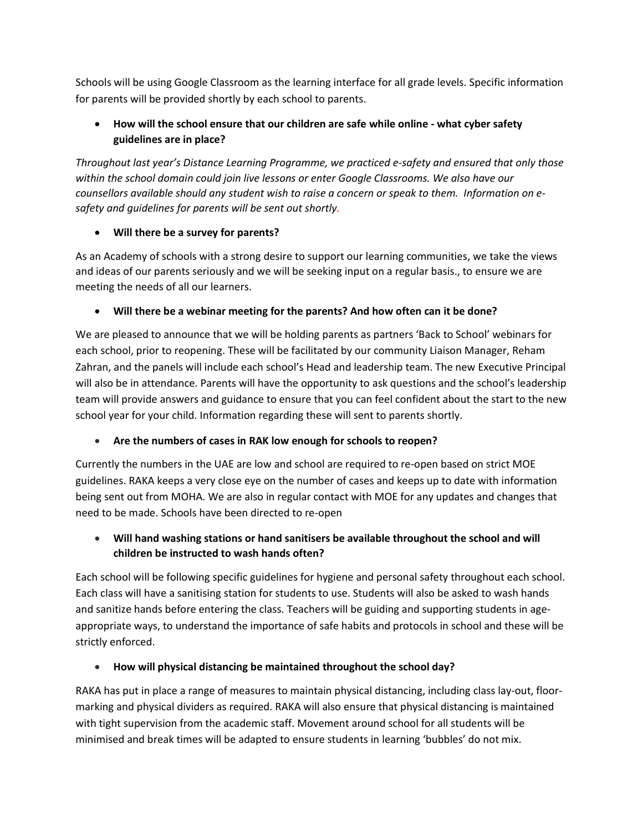Schools will be using Google Classroom as the learning interface for all grade levels. Specific information for parents will be provided shortly by each school to parents.

## **How will the school ensure that our children are safe while online - what cyber safety guidelines are in place?**

*Throughout last year's Distance Learning Programme, we practiced e-safety and ensured that only those within the school domain could join live lessons or enter Google Classrooms. We also have our counsellors available should any student wish to raise a concern or speak to them. Information on esafety and guidelines for parents will be sent out shortly.* 

## **Will there be a survey for parents?**

As an Academy of schools with a strong desire to support our learning communities, we take the views and ideas of our parents seriously and we will be seeking input on a regular basis., to ensure we are meeting the needs of all our learners.

## **Will there be a webinar meeting for the parents? And how often can it be done?**

We are pleased to announce that we will be holding parents as partners 'Back to School' webinars for each school, prior to reopening. These will be facilitated by our community Liaison Manager, Reham Zahran, and the panels will include each school's Head and leadership team. The new Executive Principal will also be in attendance. Parents will have the opportunity to ask questions and the school's leadership team will provide answers and guidance to ensure that you can feel confident about the start to the new school year for your child. Information regarding these will sent to parents shortly.

## **Are the numbers of cases in RAK low enough for schools to reopen?**

Currently the numbers in the UAE are low and school are required to re-open based on strict MOE guidelines. RAKA keeps a very close eye on the number of cases and keeps up to date with information being sent out from MOHA. We are also in regular contact with MOE for any updates and changes that need to be made. Schools have been directed to re-open

## **Will hand washing stations or hand sanitisers be available throughout the school and will children be instructed to wash hands often?**

Each school will be following specific guidelines for hygiene and personal safety throughout each school. Each class will have a sanitising station for students to use. Students will also be asked to wash hands and sanitize hands before entering the class. Teachers will be guiding and supporting students in ageappropriate ways, to understand the importance of safe habits and protocols in school and these will be strictly enforced.

## **How will physical distancing be maintained throughout the school day?**

RAKA has put in place a range of measures to maintain physical distancing, including class lay-out, floormarking and physical dividers as required. RAKA will also ensure that physical distancing is maintained with tight supervision from the academic staff. Movement around school for all students will be minimised and break times will be adapted to ensure students in learning 'bubbles' do not mix.